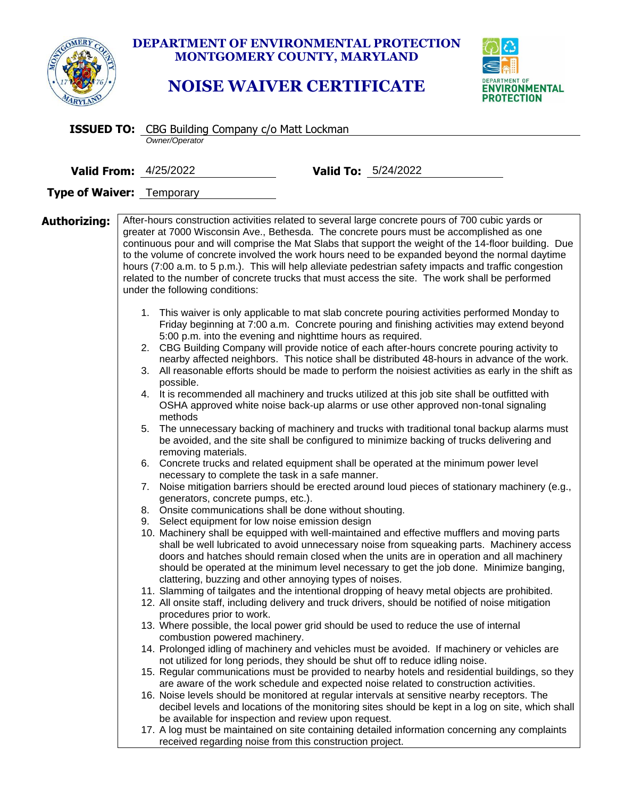

## **DEPARTMENT OF ENVIRONMENTAL PROTECTION MONTGOMERY COUNTY, MARYLAND**

## **NOISE WAIVER CERTIFICATE**



|                           | <b>ISSUED TO:</b> CBG Building Company c/o Matt Lockman                                                                                                                                                                                                                                                                                                                                                                                       |  |  |
|---------------------------|-----------------------------------------------------------------------------------------------------------------------------------------------------------------------------------------------------------------------------------------------------------------------------------------------------------------------------------------------------------------------------------------------------------------------------------------------|--|--|
|                           | Owner/Operator                                                                                                                                                                                                                                                                                                                                                                                                                                |  |  |
|                           | <b>Valid From: 4/25/2022</b><br><b>Valid To:</b> 5/24/2022                                                                                                                                                                                                                                                                                                                                                                                    |  |  |
|                           |                                                                                                                                                                                                                                                                                                                                                                                                                                               |  |  |
| Type of Waiver: Temporary |                                                                                                                                                                                                                                                                                                                                                                                                                                               |  |  |
| Authorizing:              | After-hours construction activities related to several large concrete pours of 700 cubic yards or<br>greater at 7000 Wisconsin Ave., Bethesda. The concrete pours must be accomplished as one<br>continuous pour and will comprise the Mat Slabs that support the weight of the 14-floor building. Due                                                                                                                                        |  |  |
|                           | to the volume of concrete involved the work hours need to be expanded beyond the normal daytime<br>hours (7:00 a.m. to 5 p.m.). This will help alleviate pedestrian safety impacts and traffic congestion<br>related to the number of concrete trucks that must access the site. The work shall be performed<br>under the following conditions:                                                                                               |  |  |
|                           | 1. This waiver is only applicable to mat slab concrete pouring activities performed Monday to<br>Friday beginning at 7:00 a.m. Concrete pouring and finishing activities may extend beyond<br>5:00 p.m. into the evening and nighttime hours as required.                                                                                                                                                                                     |  |  |
|                           | 2. CBG Building Company will provide notice of each after-hours concrete pouring activity to<br>nearby affected neighbors. This notice shall be distributed 48-hours in advance of the work.<br>3. All reasonable efforts should be made to perform the noisiest activities as early in the shift as                                                                                                                                          |  |  |
|                           | possible.<br>4. It is recommended all machinery and trucks utilized at this job site shall be outfitted with<br>OSHA approved white noise back-up alarms or use other approved non-tonal signaling<br>methods                                                                                                                                                                                                                                 |  |  |
|                           | The unnecessary backing of machinery and trucks with traditional tonal backup alarms must<br>5.<br>be avoided, and the site shall be configured to minimize backing of trucks delivering and<br>removing materials.                                                                                                                                                                                                                           |  |  |
|                           | 6. Concrete trucks and related equipment shall be operated at the minimum power level<br>necessary to complete the task in a safe manner.                                                                                                                                                                                                                                                                                                     |  |  |
|                           | 7. Noise mitigation barriers should be erected around loud pieces of stationary machinery (e.g.,<br>generators, concrete pumps, etc.).                                                                                                                                                                                                                                                                                                        |  |  |
|                           | 8. Onsite communications shall be done without shouting.<br>9. Select equipment for low noise emission design                                                                                                                                                                                                                                                                                                                                 |  |  |
|                           | 10. Machinery shall be equipped with well-maintained and effective mufflers and moving parts<br>shall be well lubricated to avoid unnecessary noise from squeaking parts. Machinery access<br>doors and hatches should remain closed when the units are in operation and all machinery<br>should be operated at the minimum level necessary to get the job done. Minimize banging,<br>clattering, buzzing and other annoying types of noises. |  |  |
|                           | 11. Slamming of tailgates and the intentional dropping of heavy metal objects are prohibited.<br>12. All onsite staff, including delivery and truck drivers, should be notified of noise mitigation                                                                                                                                                                                                                                           |  |  |
|                           | procedures prior to work.<br>13. Where possible, the local power grid should be used to reduce the use of internal<br>combustion powered machinery.                                                                                                                                                                                                                                                                                           |  |  |
|                           | 14. Prolonged idling of machinery and vehicles must be avoided. If machinery or vehicles are<br>not utilized for long periods, they should be shut off to reduce idling noise.                                                                                                                                                                                                                                                                |  |  |
|                           | 15. Regular communications must be provided to nearby hotels and residential buildings, so they<br>are aware of the work schedule and expected noise related to construction activities.                                                                                                                                                                                                                                                      |  |  |
|                           | 16. Noise levels should be monitored at regular intervals at sensitive nearby receptors. The<br>decibel levels and locations of the monitoring sites should be kept in a log on site, which shall<br>be available for inspection and review upon request.                                                                                                                                                                                     |  |  |
|                           | 17. A log must be maintained on site containing detailed information concerning any complaints<br>received regarding noise from this construction project.                                                                                                                                                                                                                                                                                    |  |  |